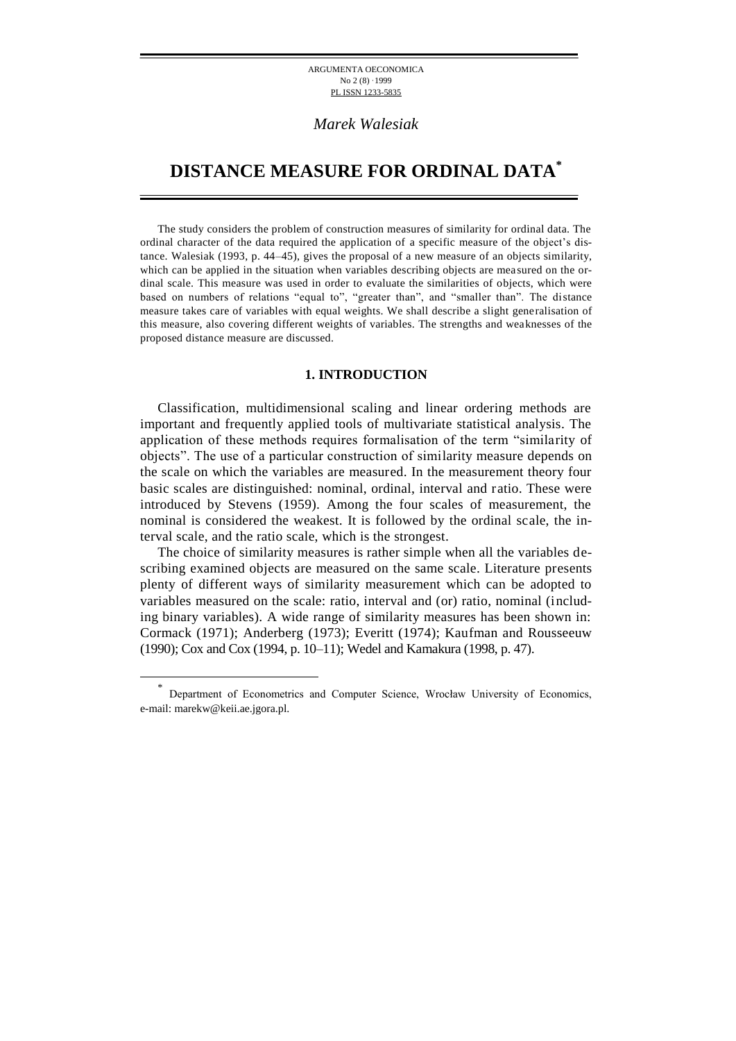ARGUMENTA OECONOMICA No 2 (8)·1999 PL ISSN 1233-5835

*Marek Walesiak*

# **DISTANCE MEASURE FOR ORDINAL DATA\***

The study considers the problem of construction measures of similarity for ordinal data. The ordinal character of the data required the application of a specific measure of the object's distance. Walesiak (1993, p. 44–45), gives the proposal of a new measure of an objects similarity, which can be applied in the situation when variables describing objects are measured on the ordinal scale. This measure was used in order to evaluate the similarities of objects, which were based on numbers of relations "equal to", "greater than", and "smaller than". The distance measure takes care of variables with equal weights. We shall describe a slight generalisation of this measure, also covering different weights of variables. The strengths and weaknesses of the proposed distance measure are discussed.

### **1. INTRODUCTION**

Classification, multidimensional scaling and linear ordering methods are important and frequently applied tools of multivariate statistical analysis. The application of these methods requires formalisation of the term "similarity of objects". The use of a particular construction of similarity measure depends on the scale on which the variables are measured. In the measurement theory four basic scales are distinguished: nominal, ordinal, interval and ratio. These were introduced by Stevens (1959). Among the four scales of measurement, the nominal is considered the weakest. It is followed by the ordinal scale, the interval scale, and the ratio scale, which is the strongest.

The choice of similarity measures is rather simple when all the variables describing examined objects are measured on the same scale. Literature presents plenty of different ways of similarity measurement which can be adopted to variables measured on the scale: ratio, interval and (or) ratio, nominal (including binary variables). A wide range of similarity measures has been shown in: Cormack (1971); Anderberg (1973); Everitt (1974); Kaufman and Rousseeuw (1990); Cox and Cox (1994, p. 10–11); Wedel and Kamakura (1998, p. 47).

 $\overline{a}$ 

<sup>\*</sup> Department of Econometrics and Computer Science, Wrocław University of Economics, e-mail: marekw@keii.ae.jgora.pl.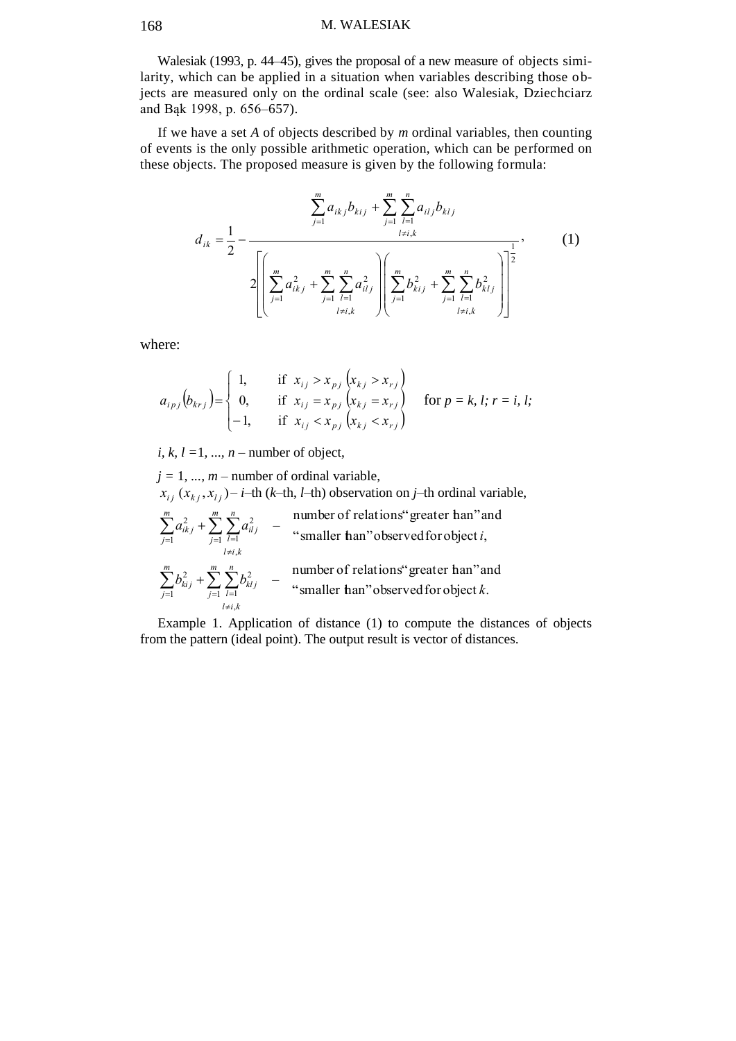## 168 M. WALESIAK

Walesiak (1993, p. 44–45), gives the proposal of a new measure of objects similarity, which can be applied in a situation when variables describing those objects are measured only on the ordinal scale (see: also Walesiak, Dziechciarz and Bąk 1998, p. 656–657).

If we have a set *A* of objects described by *m* ordinal variables, then counting of events is the only possible arithmetic operation, which can be performed on these objects. The proposed measure is given by the following formula:

$$
d_{ik} = \frac{1}{2} - \frac{\sum_{j=1}^{m} a_{ikj} b_{kij} + \sum_{j=1}^{m} \sum_{l=1}^{n} a_{ilj} b_{klj}}{2\left[\left(\sum_{j=1}^{m} a_{ikj}^{2} + \sum_{j=1}^{m} \sum_{l=1}^{n} a_{ilj}^{2}\right)\left(\sum_{j=1}^{m} b_{kij}^{2} + \sum_{j=1}^{m} \sum_{l=1}^{n} b_{klj}^{2}\right)\right]^{2}},
$$
\n(1)

where:

$$
a_{ipj}(b_{krj}) = \begin{cases} 1, & \text{if } x_{ij} > x_{pj} (x_{kj} > x_{rj}) \\ 0, & \text{if } x_{ij} = x_{pj} (x_{kj} = x_{rj}) \\ -1, & \text{if } x_{ij} < x_{pj} (x_{kj} < x_{rj}) \end{cases} \quad \text{for } p = k, l; r = i, l;
$$

*i, k, l* = 1, ..., *n* – number of object,

*j* = 1, ..., *m* – number of ordinal variable,  
\n
$$
x_{ij}
$$
 ( $x_{kj}$ ,  $x_{lj}$ ) – *i*–th (*k*–th, *l*–th) observation on *j*–th ordinal variable,  
\n
$$
\sum_{j=1}^{m} a_{ikj}^2 + \sum_{j=1}^{m} \sum_{l=1}^{n} a_{ilj}^2
$$
\nnumber of relations "greater han" and  
\n
$$
\sum_{j=1}^{m} b_{kij}^2 + \sum_{j=1}^{m} \sum_{l=1}^{n} b_{klj}^2
$$
\nnumber of relations "greater han" and  
\n
$$
\sum_{j=1}^{m} b_{kij}^2 + \sum_{j=1}^{m} \sum_{l=1}^{n} b_{klj}^2
$$
\nnumber of relations "greater han" and  
\n
$$
\sum_{l \neq i,k}^{m} b_{ki}^2 + \sum_{l \neq i,k}^{n} b_{klj}^2 = \sum_{l \neq i,k}^{n} b_{ilj}^2
$$

Example 1. Application of distance (1) to compute the distances of objects from the pattern (ideal point). The output result is vector of distances.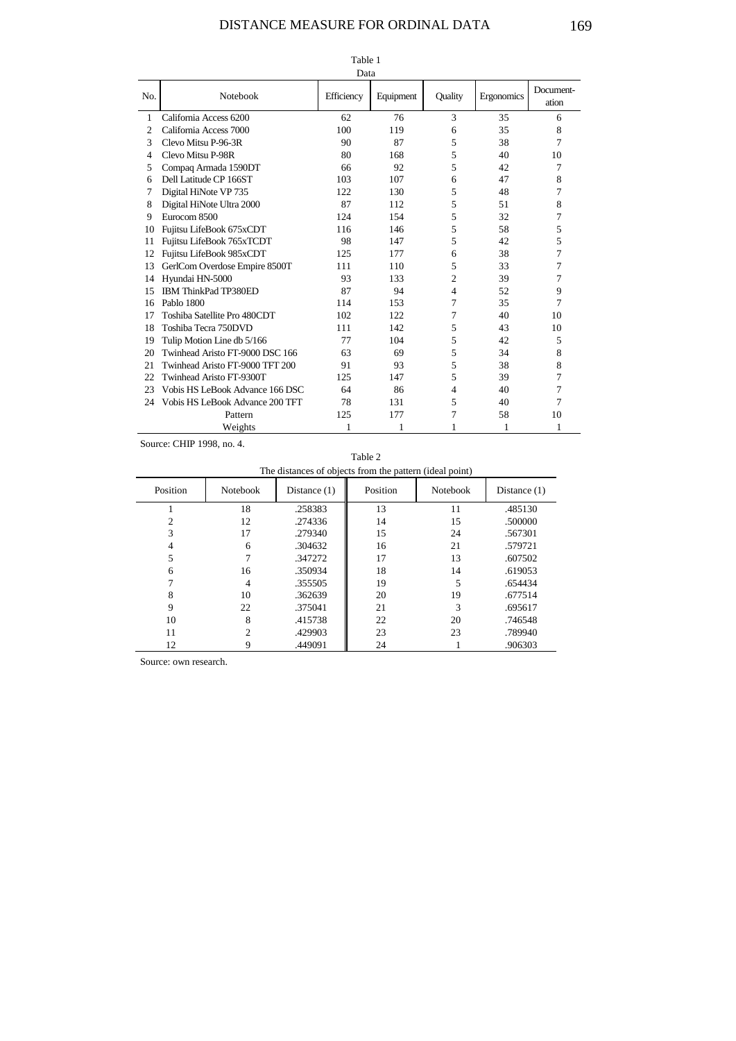## DISTANCE MEASURE FOR ORDINAL DATA 169

| Data           |                                 |            |           |         |            |                    |  |  |
|----------------|---------------------------------|------------|-----------|---------|------------|--------------------|--|--|
| No.            | Notebook                        | Efficiency | Equipment | Quality | Ergonomics | Document-<br>ation |  |  |
| 1              | California Access 6200          | 62         | 76        | 3       | 35         | 6                  |  |  |
| $\overline{c}$ | California Access 7000          | 100        | 119       | 6       | 35         | 8                  |  |  |
| 3              | Clevo Mitsu P-96-3R             | 90         | 87        | 5       | 38         | 7                  |  |  |
| 4              | Clevo Mitsu P-98R               | 80         | 168       | 5       | 40         | 10                 |  |  |
| 5              | Compaq Armada 1590DT            | 66         | 92        | 5       | 42         | 7                  |  |  |
| 6              | Dell Latitude CP 166ST          | 103        | 107       | 6       | 47         | 8                  |  |  |
| 7              | Digital HiNote VP 735           | 122        | 130       | 5       | 48         | 7                  |  |  |
| 8              | Digital HiNote Ultra 2000       | 87         | 112       | 5       | 51         | 8                  |  |  |
| 9              | Eurocom 8500                    | 124        | 154       | 5       | 32         | 7                  |  |  |
| 10             | Fujitsu LifeBook 675xCDT        | 116        | 146       | 5       | 58         | 5                  |  |  |
| 11             | Fujitsu LifeBook 765xTCDT       | 98         | 147       | 5       | 42         | 5                  |  |  |
| 12             | Fujitsu LifeBook 985xCDT        | 125        | 177       | 6       | 38         | 7                  |  |  |
| 13             | GerlCom Overdose Empire 8500T   | 111        | 110       | 5       | 33         | 7                  |  |  |
| 14             | Hyundai HN-5000                 | 93         | 133       | 2       | 39         | 7                  |  |  |
| 15             | IBM ThinkPad TP380ED            | 87         | 94        | 4       | 52         | 9                  |  |  |
| 16             | Pablo 1800                      | 114        | 153       | 7       | 35         | 7                  |  |  |
| 17             | Toshiba Satellite Pro 480CDT    | 102        | 122       | 7       | 40         | 10                 |  |  |
| 18             | Toshiba Tecra 750DVD            | 111        | 142       | 5       | 43         | 10                 |  |  |
| 19             | Tulip Motion Line db 5/166      | 77         | 104       | 5       | 42         | 5                  |  |  |
| 20             | Twinhead Aristo FT-9000 DSC 166 | 63         | 69        | 5       | 34         | 8                  |  |  |
| 21             | Twinhead Aristo FT-9000 TFT 200 | 91         | 93        | 5       | 38         | 8                  |  |  |
| 22             | Twinhead Aristo FT-9300T        | 125        | 147       | 5       | 39         | 7                  |  |  |
| 23             | Vobis HS LeBook Advance 166 DSC | 64         | 86        | 4       | 40         | 7                  |  |  |
| 24             | Vobis HS LeBook Advance 200 TFT | 78         | 131       | 5       | 40         | 7                  |  |  |
|                | Pattern                         | 125        | 177       | 7       | 58         | 10                 |  |  |
|                | Weights                         | 1          | 1         | 1       | 1          | 1                  |  |  |

Table 1 Data

Source: CHIP 1998, no. 4.

Table 2 The distances of objects from the pattern (ideal point)

|          |                |                |          | <u>receive (come have)</u> |                |
|----------|----------------|----------------|----------|----------------------------|----------------|
| Position | Notebook       | Distance $(1)$ | Position | Notebook                   | Distance $(1)$ |
|          | 18             | .258383        | 13       | 11                         | .485130        |
| 2        | 12             | .274336        | 14       | 15                         | .500000        |
| 3        | 17             | .279340        | 15       | 24                         | .567301        |
| 4        | 6              | .304632        | 16       | 21                         | .579721        |
| 5        |                | .347272        | 17       | 13                         | .607502        |
| 6        | 16             | .350934        | 18       | 14                         | .619053        |
|          | $\overline{4}$ | .355505        | 19       | 5                          | .654434        |
| 8        | 10             | .362639        | 20       | 19                         | .677514        |
| 9        | 22             | .375041        | 21       | 3                          | .695617        |
| 10       | 8              | .415738        | 22       | 20                         | .746548        |
| 11       |                | .429903        | 23       | 23                         | .789940        |
| 12       | 9              | .449091        | 24       |                            | .906303        |

Source: own research.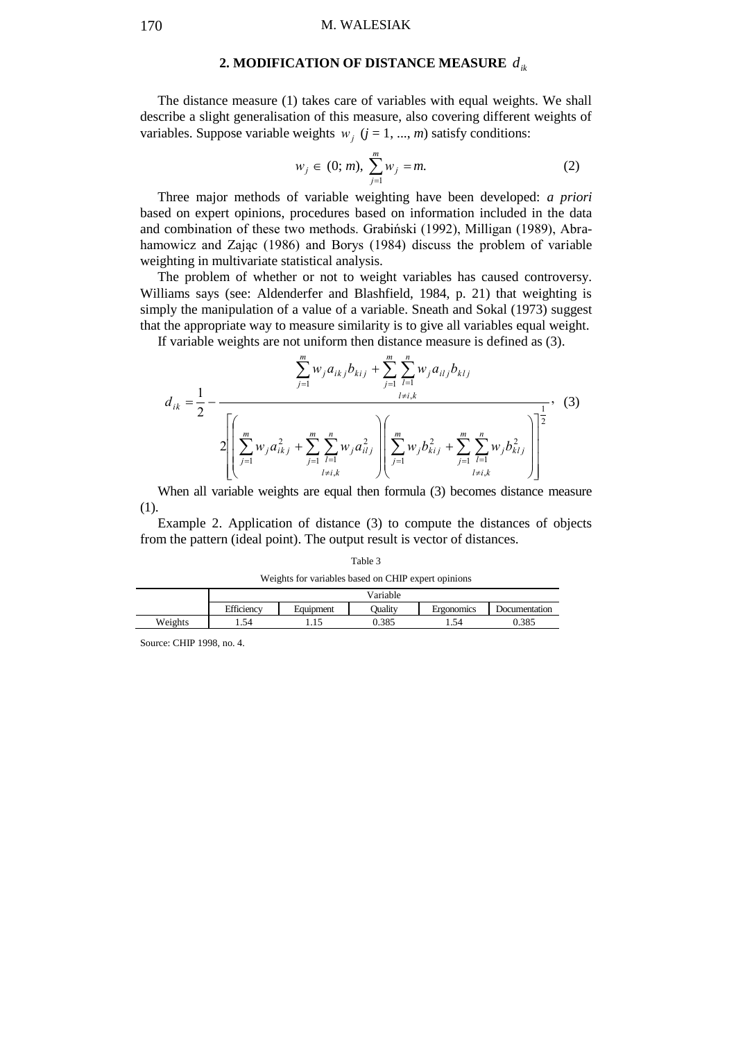## 170 M. WALESIAK

## **2. MODIFICATION OF DISTANCE MEASURE**  *dik*

The distance measure (1) takes care of variables with equal weights. We shall describe a slight generalisation of this measure, also covering different weights of variables. Suppose variable weights  $w_j$  ( $j = 1, ..., m$ ) satisfy conditions:

$$
w_j \in (0; m), \sum_{j=1}^{m} w_j = m. \tag{2}
$$

Three major methods of variable weighting have been developed: *a priori* based on expert opinions, procedures based on information included in the data and combination of these two methods. Grabiński (1992), Milligan (1989), Abrahamowicz and Zając (1986) and Borys (1984) discuss the problem of variable weighting in multivariate statistical analysis.

The problem of whether or not to weight variables has caused controversy. Williams says (see: Aldenderfer and Blashfield, 1984, p. 21) that weighting is simply the manipulation of a value of a variable. Sneath and Sokal (1973) suggest that the appropriate way to measure similarity is to give all variables equal weight.

If variable weights are not uniform then distance measure is defined as (3).

$$
d_{ik} = \frac{1}{2} - \frac{\sum_{j=1}^{m} w_j a_{ikj} b_{kij} + \sum_{j=1}^{m} \sum_{l=1}^{n} w_j a_{ilj} b_{klj}}{2 \left[ \sum_{j=1}^{m} w_j a_{ikj}^2 + \sum_{j=1}^{m} \sum_{l=1}^{n} w_j a_{ilj}^2 \right] \left[ \sum_{j=1}^{m} w_j b_{klj}^2 + \sum_{j=1}^{m} \sum_{l=1}^{n} w_j b_{klj}^2 \right]^{\frac{1}{2}}},
$$
(3)

When all variable weights are equal then formula (3) becomes distance measure (1).

Example 2. Application of distance (3) to compute the distances of objects from the pattern (ideal point). The output result is vector of distances.

#### Table 3

Weights for variables based on CHIP expert opinions

|         | <i>l</i> ariable |           |                |            |               |  |
|---------|------------------|-----------|----------------|------------|---------------|--|
|         | Efficiency       | Equipment | <b>Duality</b> | Ergonomics | Documentation |  |
| Weights | -54<br>⊥. ு —ா   | 1.10      | 0.385          | 1.54       | 0.385         |  |

Source: CHIP 1998, no. 4.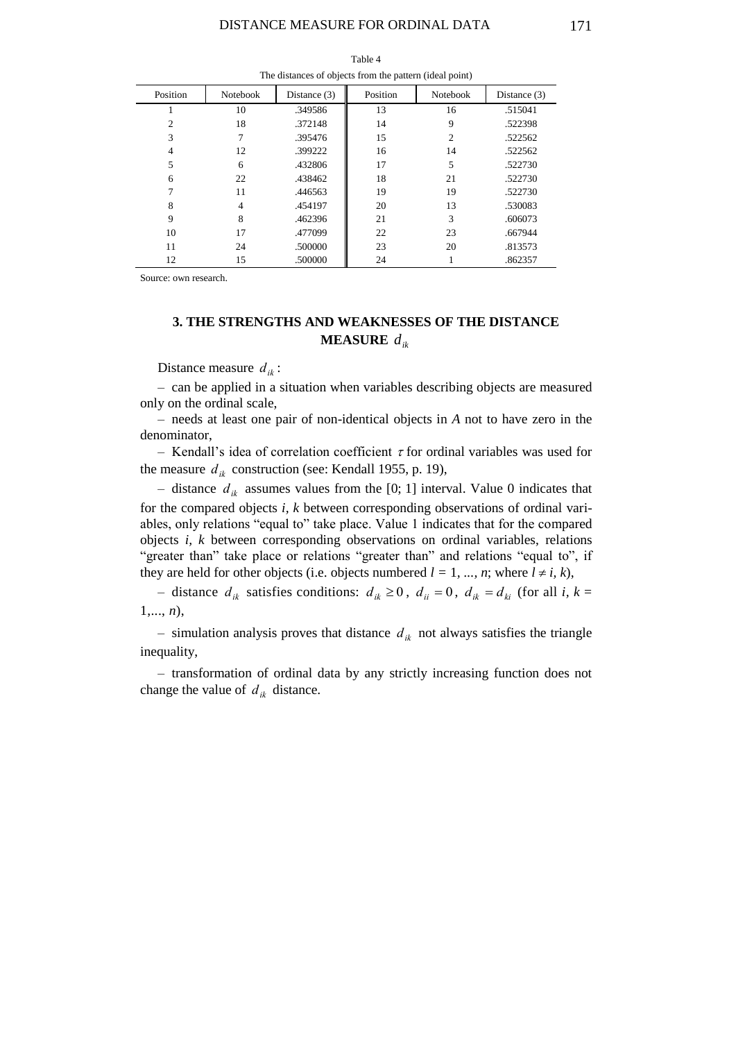| The distances of objects from the pattern (ideal point) |          |              |          |          |              |  |
|---------------------------------------------------------|----------|--------------|----------|----------|--------------|--|
| Position                                                | Notebook | Distance (3) | Position | Notebook | Distance (3) |  |
|                                                         | 10       | .349586      | 13       | 16       | .515041      |  |
| 2                                                       | 18       | .372148      | 14       | 9        | .522398      |  |
| 3                                                       |          | .395476      | 15       | 2        | .522562      |  |
| 4                                                       | 12       | .399222      | 16       | 14       | .522562      |  |
| 5                                                       | 6        | .432806      | 17       | 5        | .522730      |  |
| 6                                                       | 22       | .438462      | 18       | 21       | .522730      |  |
| 7                                                       | 11       | .446563      | 19       | 19       | .522730      |  |
| 8                                                       | 4        | .454197      | 20       | 13       | .530083      |  |
| 9                                                       | 8        | .462396      | 21       | 3        | .606073      |  |
| 10                                                      | 17       | .477099      | 22       | 23       | .667944      |  |
| 11                                                      | 24       | .500000      | 23       | 20       | .813573      |  |
| 12                                                      | 15       | .500000      | 24       |          | .862357      |  |

Table 4

Source: own research.

## **3. THE STRENGTHS AND WEAKNESSES OF THE DISTANCE MEASURE**  *dik*

Distance measure  $d_{ik}$ :

– can be applied in a situation when variables describing objects are measured only on the ordinal scale,

– needs at least one pair of non-identical objects in *A* not to have zero in the denominator,

– Kendall's idea of correlation coefficient  $\tau$  for ordinal variables was used for the measure  $d_{ik}$  construction (see: Kendall 1955, p. 19),

- distance  $d_{ik}$  assumes values from the [0; 1] interval. Value 0 indicates that for the compared objects *i, k* between corresponding observations of ordinal variables, only relations "equal to" take place. Value 1 indicates that for the compared objects *i, k* between corresponding observations on ordinal variables, relations "greater than" take place or relations "greater than" and relations "equal to", if they are held for other objects (i.e. objects numbered  $l = 1, ..., n$ ; where  $l \neq i, k$ ),

- distance  $d_{ik}$  satisfies conditions:  $d_{ik} \ge 0$ ,  $d_{ii} = 0$ ,  $d_{ik} = d_{ki}$  (for all *i*,  $k =$ 1,..., *n*),

– simulation analysis proves that distance *dik* not always satisfies the triangle inequality,

– transformation of ordinal data by any strictly increasing function does not change the value of  $d_{ik}$  distance.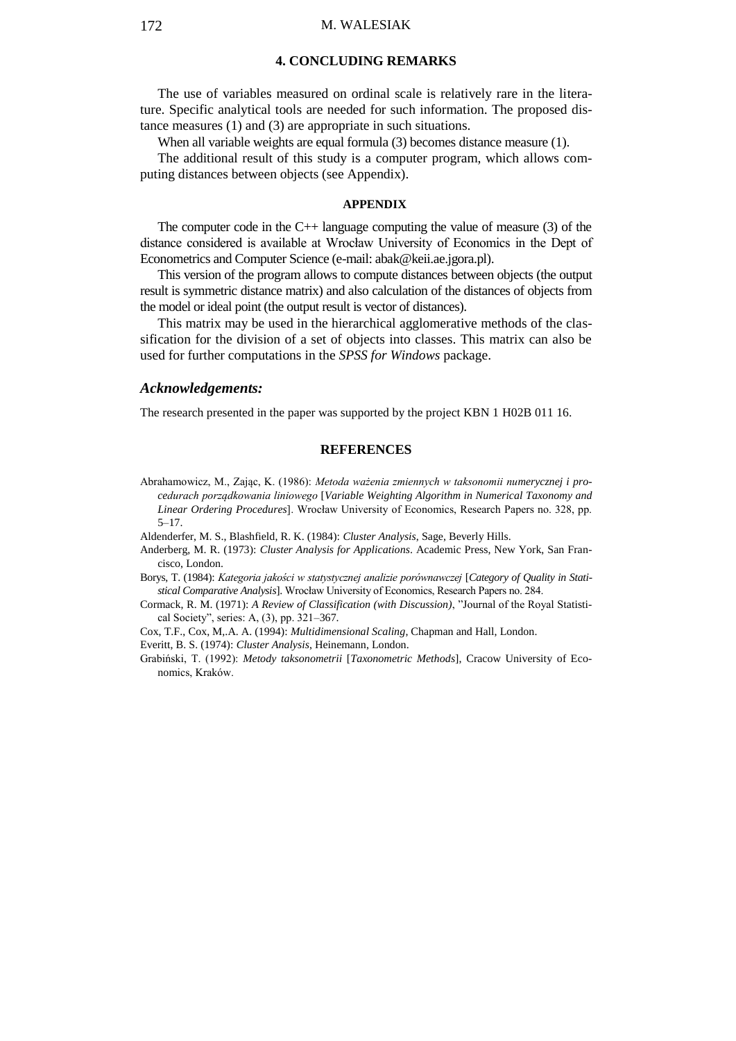## **4. CONCLUDING REMARKS**

The use of variables measured on ordinal scale is relatively rare in the literature. Specific analytical tools are needed for such information. The proposed distance measures (1) and (3) are appropriate in such situations.

When all variable weights are equal formula (3) becomes distance measure (1).

The additional result of this study is a computer program, which allows computing distances between objects (see Appendix).

### **APPENDIX**

The computer code in the  $C_{++}$  language computing the value of measure (3) of the distance considered is available at Wrocław University of Economics in the Dept of Econometrics and Computer Science (e-mail: abak@keii.ae.jgora.pl).

This version of the program allows to compute distances between objects (the output result is symmetric distance matrix) and also calculation of the distances of objects from the model or ideal point (the output result is vector of distances).

This matrix may be used in the hierarchical agglomerative methods of the classification for the division of a set of objects into classes. This matrix can also be used for further computations in the *SPSS for Windows* package.

### *Acknowledgements:*

The research presented in the paper was supported by the project KBN 1 H02B 011 16.

#### **REFERENCES**

Abrahamowicz, M., Zając, K. (1986): *Metoda ważenia zmiennych w taksonomii numerycznej i procedurach porządkowania liniowego* [*Variable Weighting Algorithm in Numerical Taxonomy and Linear Ordering Procedures*]. Wrocław University of Economics, Research Papers no. 328, pp. 5–17.

Aldenderfer, M. S., Blashfield, R. K. (1984): *Cluster Analysis*, Sage, Beverly Hills.

- Anderberg, M. R. (1973): *Cluster Analysis for Applications*. Academic Press, New York, San Francisco, London.
- Borys, T. (1984): *Kategoria jakości w statystycznej analizie porównawczej* [*Category of Quality in Statistical Comparative Analysis*]. Wrocław University of Economics, Research Papers no. 284.
- Cormack, R. M. (1971): *A Review of Classification (with Discussion)*, "Journal of the Royal Statistical Society", series: A, (3), pp. 321–367.

Cox, T.F., Cox, M,.A. A. (1994): *Multidimensional Scaling*, Chapman and Hall, London.

Everitt, B. S. (1974): *Cluster Analysis*, Heinemann, London.

Grabiński, T. (1992): *Metody taksonometrii* [*Taxonometric Methods*], Cracow University of Economics, Kraków.